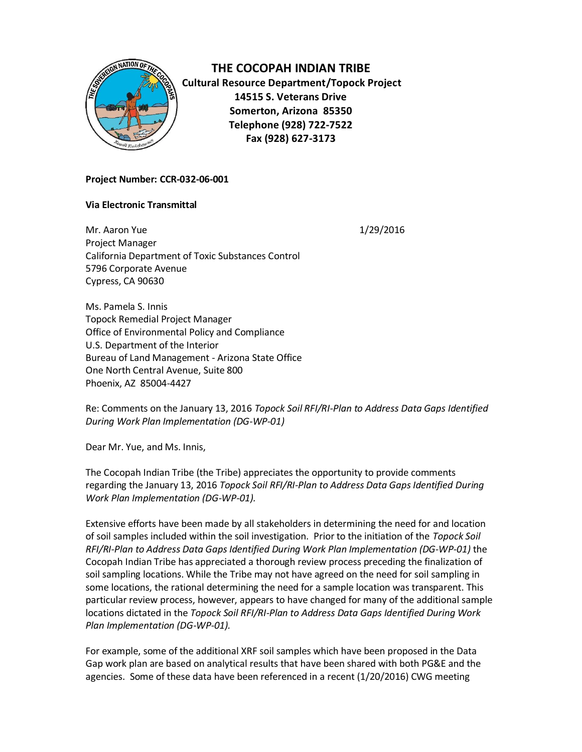

**THE COCOPAH INDIAN TRIBE Cultural Resource Department/Topock Project 14515 S. Veterans Drive Somerton, Arizona 85350 Telephone (928) 722-7522 Fax (928) 627-3173**

## **Project Number: CCR-032-06-001**

## **Via Electronic Transmittal**

Mr. Aaron Yue 2012 2016 2012 2016 2022 2024 2022 2024 2022 2024 2022 2024 2022 2024 2022 2022 2023 2022 2023 20 Project Manager California Department of Toxic Substances Control 5796 Corporate Avenue Cypress, CA 90630

Ms. Pamela S. Innis Topock Remedial Project Manager Office of Environmental Policy and Compliance U.S. Department of the Interior Bureau of Land Management - Arizona State Office One North Central Avenue, Suite 800 Phoenix, AZ 85004-4427

Re: Comments on the January 13, 2016 *Topock Soil RFI/RI-Plan to Address Data Gaps Identified During Work Plan Implementation (DG-WP-01)*

Dear Mr. Yue, and Ms. Innis,

The Cocopah Indian Tribe (the Tribe) appreciates the opportunity to provide comments regarding the January 13, 2016 *Topock Soil RFI/RI-Plan to Address Data Gaps Identified During Work Plan Implementation (DG-WP-01).* 

Extensive efforts have been made by all stakeholders in determining the need for and location of soil samples included within the soil investigation. Prior to the initiation of the *Topock Soil RFI/RI-Plan to Address Data Gaps Identified During Work Plan Implementation (DG-WP-01)* the Cocopah Indian Tribe has appreciated a thorough review process preceding the finalization of soil sampling locations. While the Tribe may not have agreed on the need for soil sampling in some locations, the rational determining the need for a sample location was transparent. This particular review process, however, appears to have changed for many of the additional sample locations dictated in the *Topock Soil RFI/RI-Plan to Address Data Gaps Identified During Work Plan Implementation (DG-WP-01).*

For example, some of the additional XRF soil samples which have been proposed in the Data Gap work plan are based on analytical results that have been shared with both PG&E and the agencies. Some of these data have been referenced in a recent (1/20/2016) CWG meeting